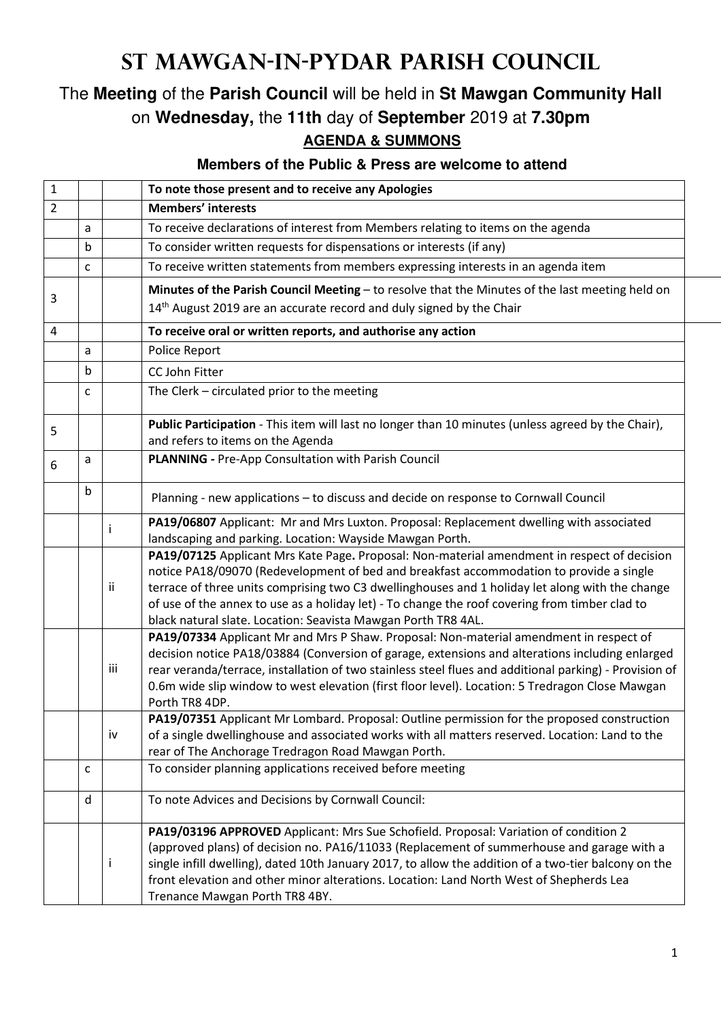## **St Mawgan-in-Pydar Parish Council**

## The **Meeting** of the **Parish Council** will be held in **St Mawgan Community Hall** on **Wednesday,** the **11th** day of **September** 2019 at **7.30pm AGENDA & SUMMONS**

## **Members of the Public & Press are welcome to attend**

| $\mathbf{1}$   |   |     | To note those present and to receive any Apologies                                                                                                                                                |
|----------------|---|-----|---------------------------------------------------------------------------------------------------------------------------------------------------------------------------------------------------|
| $\overline{2}$ |   |     | <b>Members' interests</b>                                                                                                                                                                         |
|                | a |     | To receive declarations of interest from Members relating to items on the agenda                                                                                                                  |
|                | b |     | To consider written requests for dispensations or interests (if any)                                                                                                                              |
|                | C |     | To receive written statements from members expressing interests in an agenda item                                                                                                                 |
|                |   |     | Minutes of the Parish Council Meeting - to resolve that the Minutes of the last meeting held on                                                                                                   |
| 3              |   |     | 14 <sup>th</sup> August 2019 are an accurate record and duly signed by the Chair                                                                                                                  |
| 4              |   |     | To receive oral or written reports, and authorise any action                                                                                                                                      |
|                | a |     | Police Report                                                                                                                                                                                     |
|                | b |     | CC John Fitter                                                                                                                                                                                    |
|                | C |     | The Clerk - circulated prior to the meeting                                                                                                                                                       |
|                |   |     |                                                                                                                                                                                                   |
| 5              |   |     | Public Participation - This item will last no longer than 10 minutes (unless agreed by the Chair),                                                                                                |
|                |   |     | and refers to items on the Agenda                                                                                                                                                                 |
| 6              | a |     | PLANNING - Pre-App Consultation with Parish Council                                                                                                                                               |
|                |   |     |                                                                                                                                                                                                   |
|                | b |     | Planning - new applications - to discuss and decide on response to Cornwall Council                                                                                                               |
|                |   | Ť   | PA19/06807 Applicant: Mr and Mrs Luxton. Proposal: Replacement dwelling with associated                                                                                                           |
|                |   |     | landscaping and parking. Location: Wayside Mawgan Porth.                                                                                                                                          |
|                |   |     | PA19/07125 Applicant Mrs Kate Page. Proposal: Non-material amendment in respect of decision                                                                                                       |
|                |   | ii  | notice PA18/09070 (Redevelopment of bed and breakfast accommodation to provide a single                                                                                                           |
|                |   |     | terrace of three units comprising two C3 dwellinghouses and 1 holiday let along with the change<br>of use of the annex to use as a holiday let) - To change the roof covering from timber clad to |
|                |   |     | black natural slate. Location: Seavista Mawgan Porth TR8 4AL.                                                                                                                                     |
|                |   |     | PA19/07334 Applicant Mr and Mrs P Shaw. Proposal: Non-material amendment in respect of                                                                                                            |
|                |   |     | decision notice PA18/03884 (Conversion of garage, extensions and alterations including enlarged                                                                                                   |
|                |   | iii | rear veranda/terrace, installation of two stainless steel flues and additional parking) - Provision of                                                                                            |
|                |   |     | 0.6m wide slip window to west elevation (first floor level). Location: 5 Tredragon Close Mawgan                                                                                                   |
|                |   |     | Porth TR8 4DP.                                                                                                                                                                                    |
|                |   |     | PA19/07351 Applicant Mr Lombard. Proposal: Outline permission for the proposed construction                                                                                                       |
|                |   | iv  | of a single dwellinghouse and associated works with all matters reserved. Location: Land to the                                                                                                   |
|                |   |     | rear of The Anchorage Tredragon Road Mawgan Porth.                                                                                                                                                |
|                | c |     | To consider planning applications received before meeting                                                                                                                                         |
|                | d |     | To note Advices and Decisions by Cornwall Council:                                                                                                                                                |
|                |   |     | PA19/03196 APPROVED Applicant: Mrs Sue Schofield. Proposal: Variation of condition 2                                                                                                              |
|                |   |     | (approved plans) of decision no. PA16/11033 (Replacement of summerhouse and garage with a                                                                                                         |
|                |   | Ť   | single infill dwelling), dated 10th January 2017, to allow the addition of a two-tier balcony on the                                                                                              |
|                |   |     | front elevation and other minor alterations. Location: Land North West of Shepherds Lea                                                                                                           |
|                |   |     | Trenance Mawgan Porth TR8 4BY.                                                                                                                                                                    |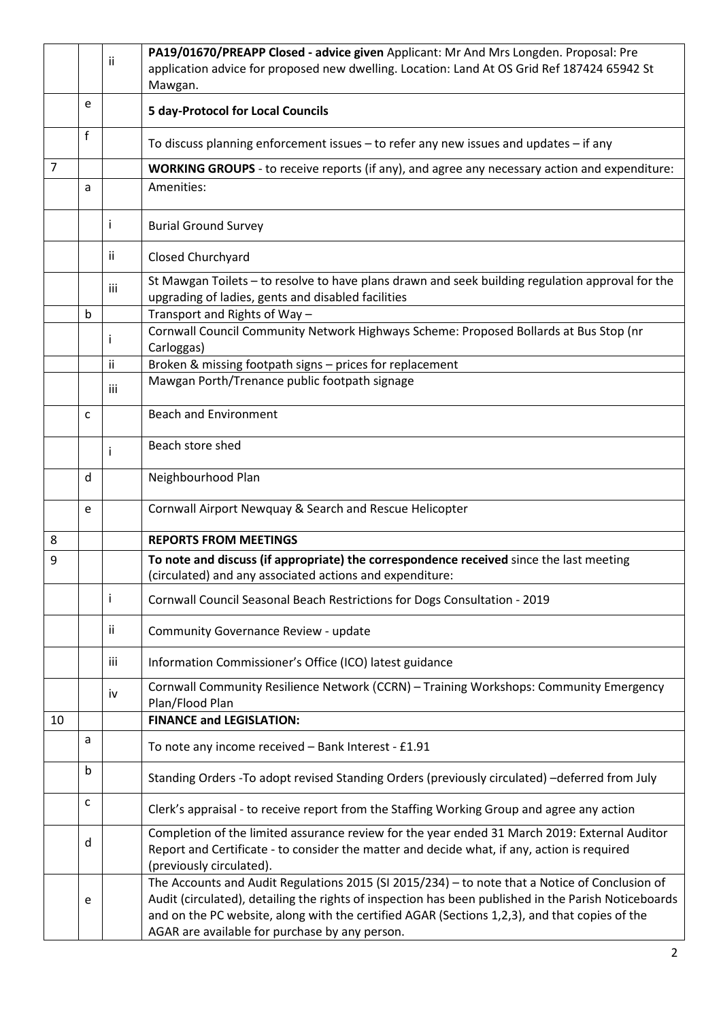|                |             |     | PA19/01670/PREAPP Closed - advice given Applicant: Mr And Mrs Longden. Proposal: Pre                                                                                                                                                                                                                                                                      |
|----------------|-------------|-----|-----------------------------------------------------------------------------------------------------------------------------------------------------------------------------------------------------------------------------------------------------------------------------------------------------------------------------------------------------------|
|                |             | Ϊİ. | application advice for proposed new dwelling. Location: Land At OS Grid Ref 187424 65942 St                                                                                                                                                                                                                                                               |
|                |             |     | Mawgan.                                                                                                                                                                                                                                                                                                                                                   |
|                | e           |     | <b>5 day-Protocol for Local Councils</b>                                                                                                                                                                                                                                                                                                                  |
|                | f           |     | To discuss planning enforcement issues - to refer any new issues and updates - if any                                                                                                                                                                                                                                                                     |
| $\overline{7}$ |             |     | WORKING GROUPS - to receive reports (if any), and agree any necessary action and expenditure:                                                                                                                                                                                                                                                             |
|                | a           |     | Amenities:                                                                                                                                                                                                                                                                                                                                                |
|                |             | j.  | <b>Burial Ground Survey</b>                                                                                                                                                                                                                                                                                                                               |
|                |             | ΪĹ  | Closed Churchyard                                                                                                                                                                                                                                                                                                                                         |
|                |             | iii | St Mawgan Toilets - to resolve to have plans drawn and seek building regulation approval for the<br>upgrading of ladies, gents and disabled facilities                                                                                                                                                                                                    |
|                | b           |     | Transport and Rights of Way -                                                                                                                                                                                                                                                                                                                             |
|                |             | Τ.  | Cornwall Council Community Network Highways Scheme: Proposed Bollards at Bus Stop (nr<br>Carloggas)                                                                                                                                                                                                                                                       |
|                |             | ii. | Broken & missing footpath signs - prices for replacement                                                                                                                                                                                                                                                                                                  |
|                |             | iii | Mawgan Porth/Trenance public footpath signage                                                                                                                                                                                                                                                                                                             |
|                |             |     |                                                                                                                                                                                                                                                                                                                                                           |
|                | c           |     | <b>Beach and Environment</b>                                                                                                                                                                                                                                                                                                                              |
|                |             | Ť   | Beach store shed                                                                                                                                                                                                                                                                                                                                          |
|                | d           |     | Neighbourhood Plan                                                                                                                                                                                                                                                                                                                                        |
|                | e           |     | Cornwall Airport Newquay & Search and Rescue Helicopter                                                                                                                                                                                                                                                                                                   |
| 8              |             |     | <b>REPORTS FROM MEETINGS</b>                                                                                                                                                                                                                                                                                                                              |
| 9              |             |     | To note and discuss (if appropriate) the correspondence received since the last meeting                                                                                                                                                                                                                                                                   |
|                |             |     | (circulated) and any associated actions and expenditure:                                                                                                                                                                                                                                                                                                  |
|                |             | Ť   | Cornwall Council Seasonal Beach Restrictions for Dogs Consultation - 2019                                                                                                                                                                                                                                                                                 |
|                |             | ΪĹ  | Community Governance Review - update                                                                                                                                                                                                                                                                                                                      |
|                |             | iii | Information Commissioner's Office (ICO) latest guidance                                                                                                                                                                                                                                                                                                   |
|                |             | iv  | Cornwall Community Resilience Network (CCRN) - Training Workshops: Community Emergency<br>Plan/Flood Plan                                                                                                                                                                                                                                                 |
| 10             |             |     | <b>FINANCE and LEGISLATION:</b>                                                                                                                                                                                                                                                                                                                           |
|                | a           |     | To note any income received - Bank Interest - £1.91                                                                                                                                                                                                                                                                                                       |
|                | $\mathsf b$ |     | Standing Orders -To adopt revised Standing Orders (previously circulated) -deferred from July                                                                                                                                                                                                                                                             |
|                | C           |     | Clerk's appraisal - to receive report from the Staffing Working Group and agree any action                                                                                                                                                                                                                                                                |
|                | d           |     | Completion of the limited assurance review for the year ended 31 March 2019: External Auditor<br>Report and Certificate - to consider the matter and decide what, if any, action is required<br>(previously circulated).                                                                                                                                  |
|                | e           |     | The Accounts and Audit Regulations 2015 (SI 2015/234) - to note that a Notice of Conclusion of<br>Audit (circulated), detailing the rights of inspection has been published in the Parish Noticeboards<br>and on the PC website, along with the certified AGAR (Sections 1,2,3), and that copies of the<br>AGAR are available for purchase by any person. |